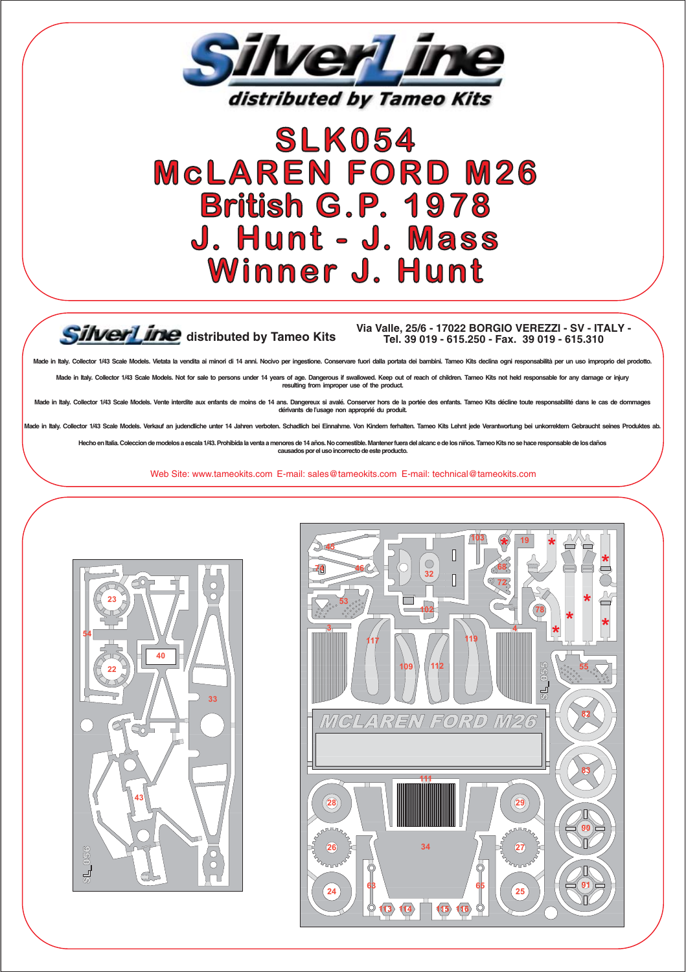

## **SLK054 MCLAREN FORD M26 British G.P. 1978** J. Hunt - J. Mass **Winner J. Hunt**

## SilverLine distributed by Tameo Kits

## Via Valle, 25/6 - 17022 BORGIO VEREZZI - SV - ITALY -Tel. 39 019 - 615.250 - Fax. 39 019 - 615.310

.<br>ctor 1/43 Scale Models, Vietata la vendita ai minori di 14 anni. Nocivo per ingestione. Conservare fuori dalla portata dei bambini. Tameo Kits declina ogni responsabilità per un uso improprio del pro

in Italy, Collector 1/43 Scale Models, Not for sale to persons under 14 years of age. Dangerous if swall ed. Keep out of reach of children. Tameo Kits not held responsable for any damage or injury resulting from improper use of the product.

in Italy. Collector 1/43 Scale Models. Vente inte dite aux enfants de moins de 14 ans. Dange ix si avalé. Cons er hors de la nortée des enfants. Tameo Kits décline to dérivants de l'usage non approprié du produit.

lv. Collector 1/43 Scale Models, Verkauf an judendliche unter 14 Jahren verboten. Schadlich bei Einnahme. Von Kindern ferhalten. Tameo Kits Lehnt iede Veran

en Italia. Coleccion de modelos a escala 1/43. Prohibida la v nenores de 14 años. No comestible. Mante ner fuera del alcanc e de los niños. Tameo Kits no causados por el uso incorrecto de este producto.

Web Site: www.tameokits.com E-mail: sales@tameokits.com E-mail: technical@tameokits.com



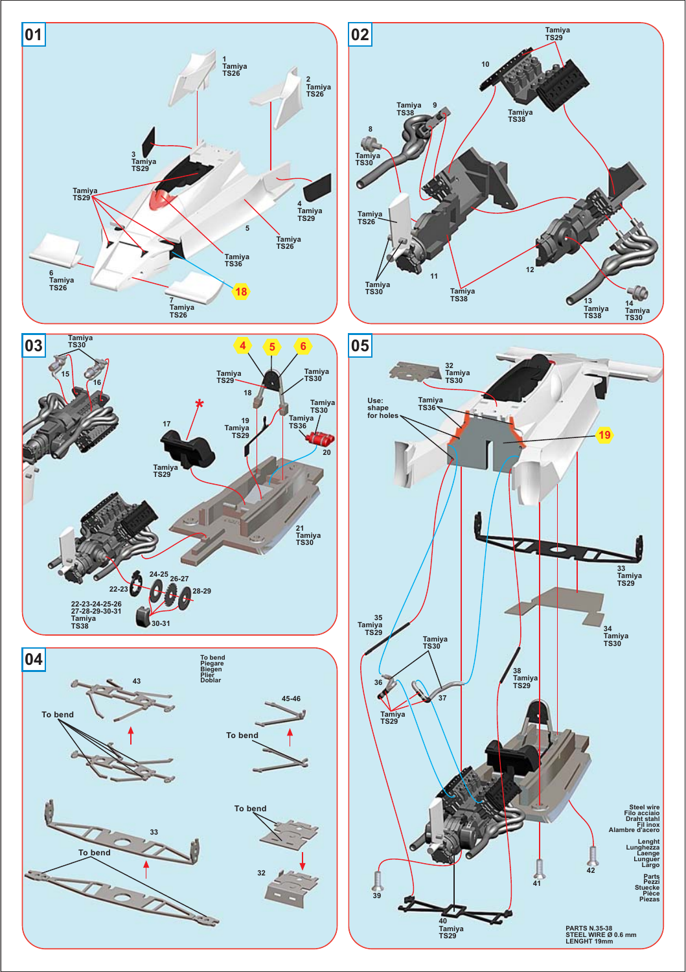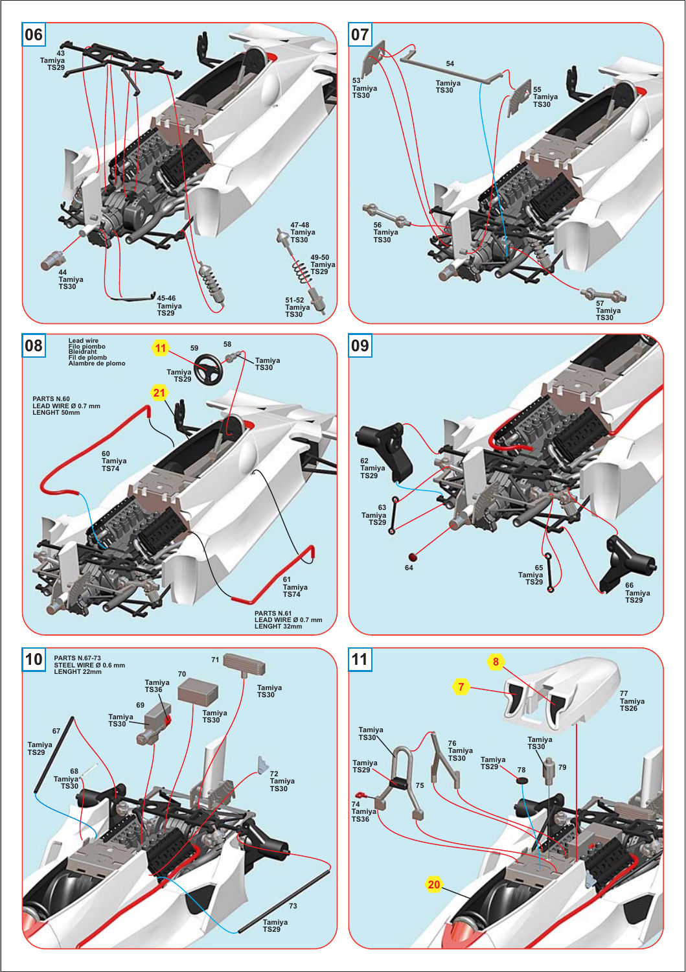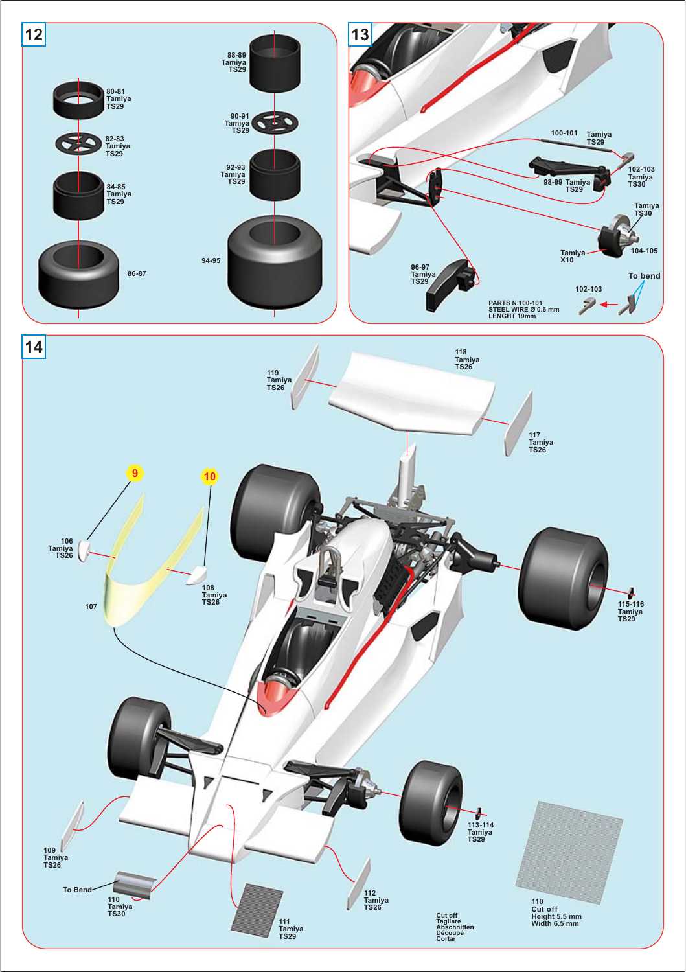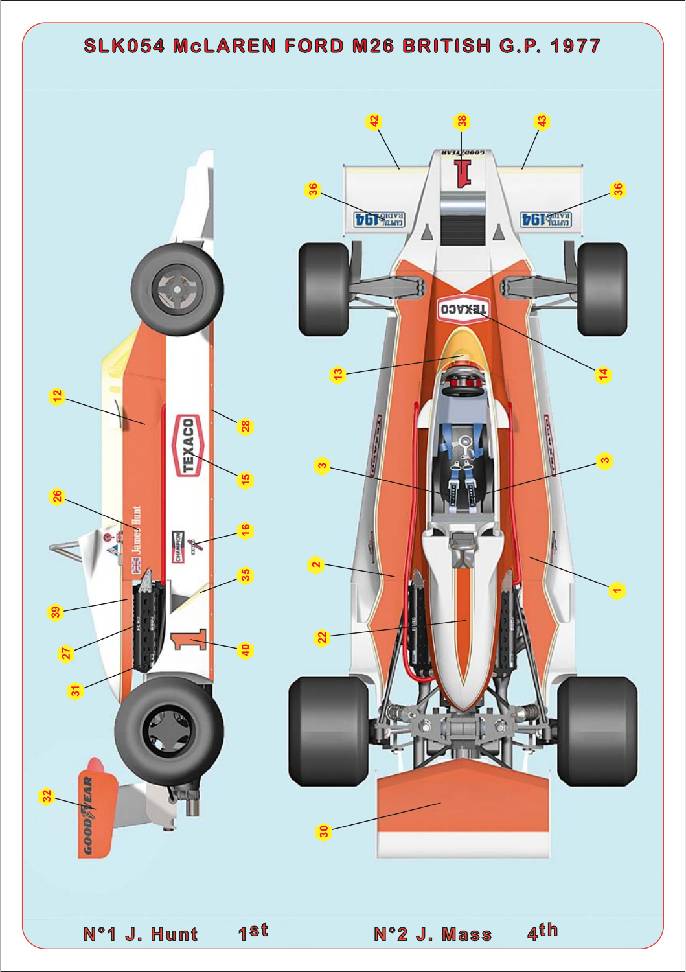## SLK054 McLAREN FORD M26 BRITISH G.P. 1977